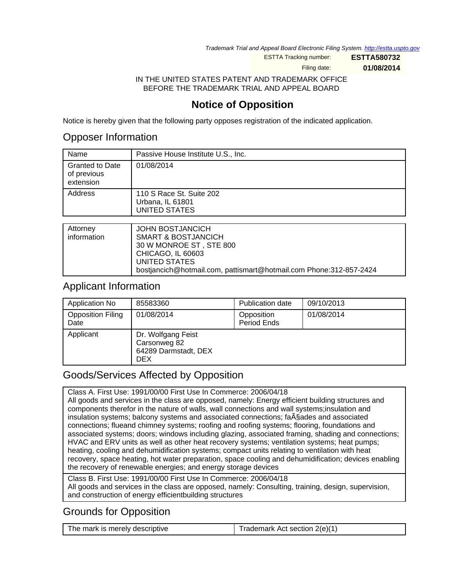Trademark Trial and Appeal Board Electronic Filing System. <http://estta.uspto.gov>

ESTTA Tracking number: **ESTTA580732**

Filing date: **01/08/2014**

IN THE UNITED STATES PATENT AND TRADEMARK OFFICE BEFORE THE TRADEMARK TRIAL AND APPEAL BOARD

# **Notice of Opposition**

Notice is hereby given that the following party opposes registration of the indicated application.

## Opposer Information

| Name                                               | Passive House Institute U.S., Inc.                            |
|----------------------------------------------------|---------------------------------------------------------------|
| <b>Granted to Date</b><br>of previous<br>extension | 01/08/2014                                                    |
| Address                                            | 110 S Race St. Suite 202<br>Urbana, IL 61801<br>UNITED STATES |
|                                                    |                                                               |
| $A$ <sup><i>Hornovi</i></sup>                      | IOUNI DOCT IANOIOU                                            |

| Attorney    | <b>JOHN BOSTJANCICH</b>                                            |
|-------------|--------------------------------------------------------------------|
| information | <b>SMART &amp; BOSTJANCICH</b>                                     |
|             | 30 W MONROE ST, STE 800                                            |
|             | CHICAGO, IL 60603                                                  |
|             | UNITED STATES                                                      |
|             | bostiancich@hotmail.com, pattismart@hotmail.com Phone:312-857-2424 |

## Applicant Information

| Application No                   | 85583360                                                           | Publication date          | 09/10/2013 |
|----------------------------------|--------------------------------------------------------------------|---------------------------|------------|
| <b>Opposition Filing</b><br>Date | 01/08/2014                                                         | Opposition<br>Period Ends | 01/08/2014 |
| Applicant                        | Dr. Wolfgang Feist<br>Carsonweg 82<br>64289 Darmstadt, DEX<br>DEX. |                           |            |

# Goods/Services Affected by Opposition

Class A. First Use: 1991/00/00 First Use In Commerce: 2006/04/18 All goods and services in the class are opposed, namely: Energy efficient building structures and components therefor in the nature of walls, wall connections and wall systems;insulation and insulation systems; balcony systems and associated connections; fa $\tilde{A}$  §ades and associated connections; flueand chimney systems; roofing and roofing systems; flooring, foundations and associated systems; doors; windows including glazing, associated framing, shading and connections; HVAC and ERV units as well as other heat recovery systems; ventilation systems; heat pumps; heating, cooling and dehumidification systems; compact units relating to ventilation with heat recovery, space heating, hot water preparation, space cooling and dehumidification; devices enabling the recovery of renewable energies; and energy storage devices

Class B. First Use: 1991/00/00 First Use In Commerce: 2006/04/18 All goods and services in the class are opposed, namely: Consulting, training, design, supervision, and construction of energy efficientbuilding structures

# Grounds for Opposition

| The mark is merely descriptive | Trademark Act section $2(e)(1)$ |
|--------------------------------|---------------------------------|
|--------------------------------|---------------------------------|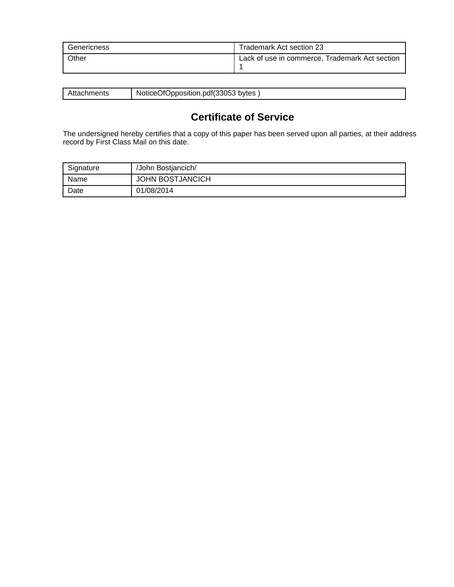| Genericness | Trademark Act section 23                       |
|-------------|------------------------------------------------|
| Other       | Lack of use in commerce, Trademark Act section |

| 31 H<br>А. | OfOpposition.pdf(33053<br>bytes<br><b>NoticeC</b> |
|------------|---------------------------------------------------|
|            |                                                   |

# **Certificate of Service**

The undersigned hereby certifies that a copy of this paper has been served upon all parties, at their address record by First Class Mail on this date.

| Signature | /John Bostjancich/      |
|-----------|-------------------------|
| Name      | <b>JOHN BOSTJANCICH</b> |
| Date      | 01/08/2014              |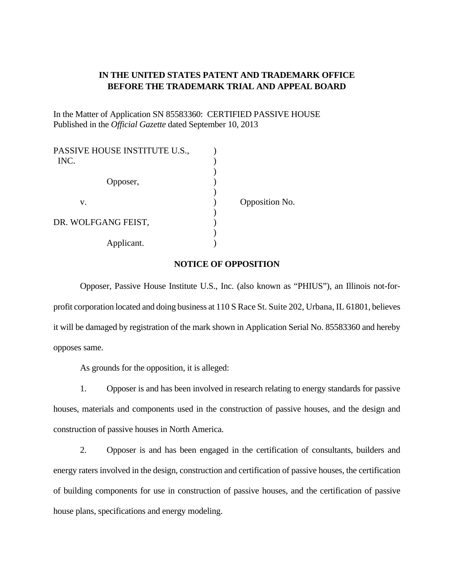#### **IN THE UNITED STATES PATENT AND TRADEMARK OFFICE BEFORE THE TRADEMARK TRIAL AND APPEAL BOARD**

In the Matter of Application SN 85583360: CERTIFIED PASSIVE HOUSE Published in the *Official Gazette* dated September 10, 2013

| PASSIVE HOUSE INSTITUTE U.S.,<br>INC. |                |
|---------------------------------------|----------------|
| Opposer,                              |                |
| V.                                    | Opposition No. |
| DR. WOLFGANG FEIST,                   |                |
| Applicant.                            |                |

#### **NOTICE OF OPPOSITION**

 Opposer, Passive House Institute U.S., Inc. (also known as "PHIUS"), an Illinois not-forprofit corporation located and doing business at 110 S Race St. Suite 202, Urbana, IL 61801, believes it will be damaged by registration of the mark shown in Application Serial No. 85583360 and hereby opposes same.

As grounds for the opposition, it is alleged:

1. Opposer is and has been involved in research relating to energy standards for passive houses, materials and components used in the construction of passive houses, and the design and construction of passive houses in North America.

2. Opposer is and has been engaged in the certification of consultants, builders and energy raters involved in the design, construction and certification of passive houses, the certification of building components for use in construction of passive houses, and the certification of passive house plans, specifications and energy modeling.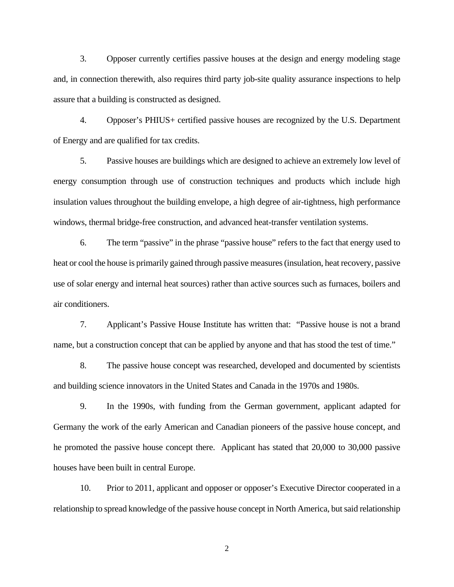3. Opposer currently certifies passive houses at the design and energy modeling stage and, in connection therewith, also requires third party job-site quality assurance inspections to help assure that a building is constructed as designed.

4. Opposer's PHIUS+ certified passive houses are recognized by the U.S. Department of Energy and are qualified for tax credits.

5. Passive houses are buildings which are designed to achieve an extremely low level of energy consumption through use of construction techniques and products which include high insulation values throughout the building envelope, a high degree of air-tightness, high performance windows, thermal bridge-free construction, and advanced heat-transfer ventilation systems.

6. The term "passive" in the phrase "passive house" refers to the fact that energy used to heat or cool the house is primarily gained through passive measures (insulation, heat recovery, passive use of solar energy and internal heat sources) rather than active sources such as furnaces, boilers and air conditioners.

7. Applicant's Passive House Institute has written that: "Passive house is not a brand name, but a construction concept that can be applied by anyone and that has stood the test of time."

8. The passive house concept was researched, developed and documented by scientists and building science innovators in the United States and Canada in the 1970s and 1980s.

9. In the 1990s, with funding from the German government, applicant adapted for Germany the work of the early American and Canadian pioneers of the passive house concept, and he promoted the passive house concept there. Applicant has stated that 20,000 to 30,000 passive houses have been built in central Europe.

10. Prior to 2011, applicant and opposer or opposer's Executive Director cooperated in a relationship to spread knowledge of the passive house concept in North America, but said relationship

2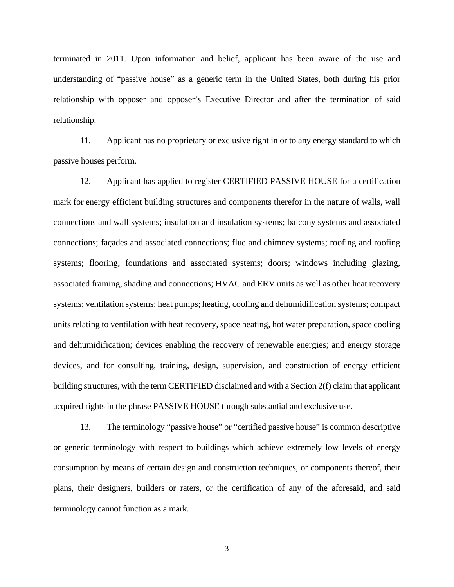terminated in 2011. Upon information and belief, applicant has been aware of the use and understanding of "passive house" as a generic term in the United States, both during his prior relationship with opposer and opposer's Executive Director and after the termination of said relationship.

11. Applicant has no proprietary or exclusive right in or to any energy standard to which passive houses perform.

12. Applicant has applied to register CERTIFIED PASSIVE HOUSE for a certification mark for energy efficient building structures and components therefor in the nature of walls, wall connections and wall systems; insulation and insulation systems; balcony systems and associated connections; façades and associated connections; flue and chimney systems; roofing and roofing systems; flooring, foundations and associated systems; doors; windows including glazing, associated framing, shading and connections; HVAC and ERV units as well as other heat recovery systems; ventilation systems; heat pumps; heating, cooling and dehumidification systems; compact units relating to ventilation with heat recovery, space heating, hot water preparation, space cooling and dehumidification; devices enabling the recovery of renewable energies; and energy storage devices, and for consulting, training, design, supervision, and construction of energy efficient building structures, with the term CERTIFIED disclaimed and with a Section 2(f) claim that applicant acquired rights in the phrase PASSIVE HOUSE through substantial and exclusive use.

13. The terminology "passive house" or "certified passive house" is common descriptive or generic terminology with respect to buildings which achieve extremely low levels of energy consumption by means of certain design and construction techniques, or components thereof, their plans, their designers, builders or raters, or the certification of any of the aforesaid, and said terminology cannot function as a mark.

3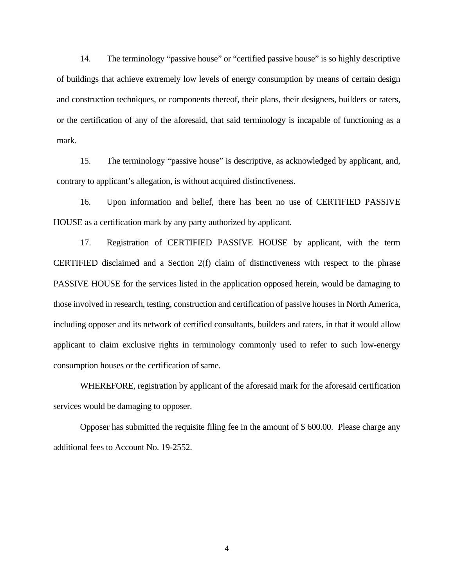14. The terminology "passive house" or "certified passive house" is so highly descriptive of buildings that achieve extremely low levels of energy consumption by means of certain design and construction techniques, or components thereof, their plans, their designers, builders or raters, or the certification of any of the aforesaid, that said terminology is incapable of functioning as a mark.

15. The terminology "passive house" is descriptive, as acknowledged by applicant, and, contrary to applicant's allegation, is without acquired distinctiveness.

16. Upon information and belief, there has been no use of CERTIFIED PASSIVE HOUSE as a certification mark by any party authorized by applicant.

17. Registration of CERTIFIED PASSIVE HOUSE by applicant, with the term CERTIFIED disclaimed and a Section  $2(f)$  claim of distinctiveness with respect to the phrase PASSIVE HOUSE for the services listed in the application opposed herein, would be damaging to those involved in research, testing, construction and certification of passive houses in North America, including opposer and its network of certified consultants, builders and raters, in that it would allow applicant to claim exclusive rights in terminology commonly used to refer to such low-energy consumption houses or the certification of same.

 WHEREFORE, registration by applicant of the aforesaid mark for the aforesaid certification services would be damaging to opposer.

 Opposer has submitted the requisite filing fee in the amount of \$ 600.00. Please charge any additional fees to Account No. 19-2552.

4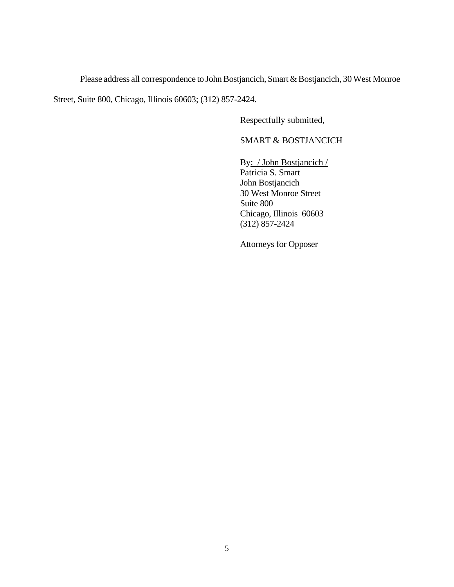Please address all correspondence to John Bostjancich, Smart & Bostjancich, 30 West Monroe

Street, Suite 800, Chicago, Illinois 60603; (312) 857-2424.

Respectfully submitted,

### SMART & BOSTJANCICH

 By: / John Bostjancich / Patricia S. Smart John Bostjancich 30 West Monroe Street Suite 800 Chicago, Illinois 60603 (312) 857-2424

Attorneys for Opposer